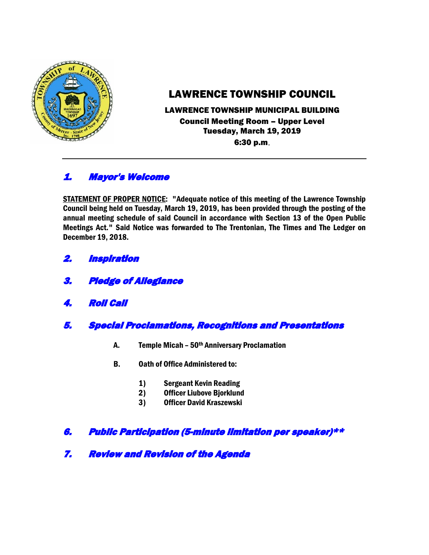

# LAWRENCE TOWNSHIP COUNCIL

#### LAWRENCE TOWNSHIP MUNICIPAL BUILDING Council Meeting Room – Upper Level Tuesday, March 19, 2019 6:30 p.m.

# 1. Mayor's Welcome

STATEMENT OF PROPER NOTICE: "Adequate notice of this meeting of the Lawrence Township Council being held on Tuesday, March 19, 2019, has been provided through the posting of the annual meeting schedule of said Council in accordance with Section 13 of the Open Public Meetings Act." Said Notice was forwarded to The Trentonian, The Times and The Ledger on December 19, 2018.

- 2. Inspiration
- 3. Pledge of Allegiance
- 4. Roll Call
- 5. Special Proclamations, Recognitions and Presentations
	- A. Temple Micah 50th Anniversary Proclamation
	- B. Oath of Office Administered to:
		- 1) Sergeant Kevin Reading
		- 2) Officer Liubove Bjorklund
		- 3) Officer David Kraszewski

# 6. Public Participation (5-minute limitation per speaker)\*\*

7. Review and Revision of the Agenda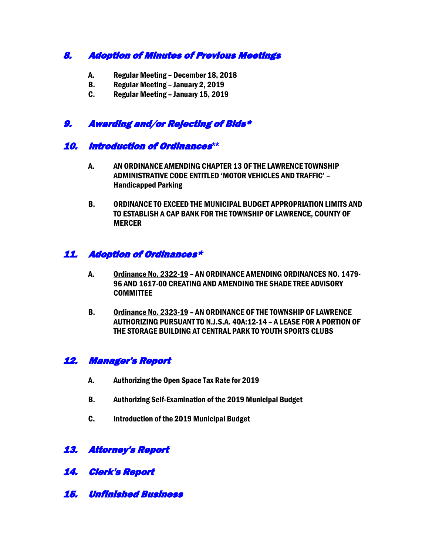# 8. Adoption of Minutes of Previous Meetings

- A. Regular Meeting December 18, 2018
- B. Regular Meeting January 2, 2019
- C. Regular Meeting January 15, 2019

### 9. Awarding and/or Rejecting of Bids\*

#### 10. Introduction of Ordinances**\*\***

- A. AN ORDINANCE AMENDING CHAPTER 13 OF THE LAWRENCE TOWNSHIP ADMINISTRATIVE CODE ENTITLED 'MOTOR VEHICLES AND TRAFFIC' – Handicapped Parking
- B. ORDINANCE TO EXCEED THE MUNICIPAL BUDGET APPROPRIATION LIMITS AND TO ESTABLISH A CAP BANK FOR THE TOWNSHIP OF LAWRENCE, COUNTY OF MERCER

### 11. Adoption of Ordinances\*

- A. Ordinance No. 2322-19 AN ORDINANCE AMENDING ORDINANCES NO. 1479- 96 AND 1617-00 CREATING AND AMENDING THE SHADE TREE ADVISORY **COMMITTEE**
- B. Ordinance No. 2323-19 AN ORDINANCE OF THE TOWNSHIP OF LAWRENCE AUTHORIZING PURSUANT TO N.J.S.A. 40A:12-14 – A LEASE FOR A PORTION OF THE STORAGE BUILDING AT CENTRAL PARK TO YOUTH SPORTS CLUBS

# 12. Manager's Report

- A. Authorizing the Open Space Tax Rate for 2019
- B. Authorizing Self-Examination of the 2019 Municipal Budget
- C. Introduction of the 2019 Municipal Budget

# 13. Attorney's Report

- 14. Clerk's Report
- 15. Unfinished Business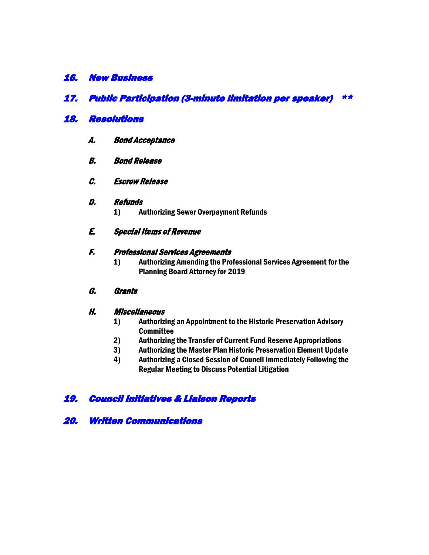#### 16. New Business

### 17. Public Participation (3-minute limitation per speaker) \*\*

#### 18. Resolutions

- A. Bond Acceptance
- B. Bond Release
- C. Escrow Release

#### D. Refunds

- 1) Authorizing Sewer Overpayment Refunds
- E. Special Items of Revenue

#### F. Professional Services Agreements

1) Authorizing Amending the Professional Services Agreement for the Planning Board Attorney for 2019

#### G. Grants

#### H. Miscellaneous

- 1) Authorizing an Appointment to the Historic Preservation Advisory **Committee**
- 2) Authorizing the Transfer of Current Fund Reserve Appropriations
- 3) Authorizing the Master Plan Historic Preservation Element Update
- 4) Authorizing a Closed Session of Council Immediately Following the Regular Meeting to Discuss Potential Litigation

# 19. Council Initiatives & Liaison Reports

20. Written Communications